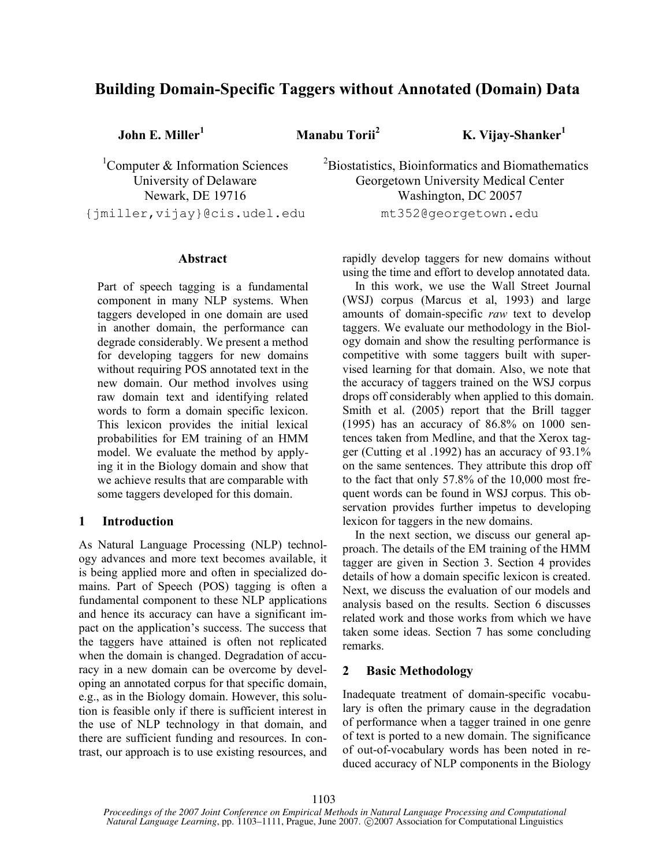# **Building Domain-Specific Taggers without Annotated (Domain) Data**

**John E. Miller**

**<sup>1</sup> Manabu Torii**

**<sup>2</sup> K. Vijay-Shanker 1**

<sup>1</sup>Computer & Information Sciences University of Delaware Newark, DE 19716 {jmiller,vijay}@cis.udel.edu

# **Abstract**

Part of speech tagging is a fundamental component in many NLP systems. When taggers developed in one domain are used in another domain, the performance can degrade considerably. We present a method for developing taggers for new domains without requiring POS annotated text in the new domain. Our method involves using raw domain text and identifying related words to form a domain specific lexicon. This lexicon provides the initial lexical probabilities for EM training of an HMM model. We evaluate the method by applying it in the Biology domain and show that we achieve results that are comparable with some taggers developed for this domain.

# **1 Introduction**

As Natural Language Processing (NLP) technology advances and more text becomes available, it is being applied more and often in specialized domains. Part of Speech (POS) tagging is often a fundamental component to these NLP applications and hence its accuracy can have a significant impact on the application's success. The success that the taggers have attained is often not replicated when the domain is changed. Degradation of accuracy in a new domain can be overcome by developing an annotated corpus for that specific domain, e.g., as in the Biology domain. However, this solution is feasible only if there is sufficient interest in the use of NLP technology in that domain, and there are sufficient funding and resources. In contrast, our approach is to use existing resources, and

 ${}^{2}$ Biostatistics, Bioinformatics and Biomathematics Georgetown University Medical Center Washington, DC 20057 mt352@georgetown.edu

rapidly develop taggers for new domains without using the time and effort to develop annotated data.

In this work, we use the Wall Street Journal (WSJ) corpus (Marcus et al, 1993) and large amounts of domain-specific *raw* text to develop taggers. We evaluate our methodology in the Biology domain and show the resulting performance is competitive with some taggers built with supervised learning for that domain. Also, we note that the accuracy of taggers trained on the WSJ corpus drops off considerably when applied to this domain. Smith et al. (2005) report that the Brill tagger (1995) has an accuracy of 86.8% on 1000 sentences taken from Medline, and that the Xerox tagger (Cutting et al .1992) has an accuracy of 93.1% on the same sentences. They attribute this drop off to the fact that only 57.8% of the 10,000 most frequent words can be found in WSJ corpus. This observation provides further impetus to developing lexicon for taggers in the new domains.

In the next section, we discuss our general approach. The details of the EM training of the HMM tagger are given in Section 3. Section 4 provides details of how a domain specific lexicon is created. Next, we discuss the evaluation of our models and analysis based on the results. Section 6 discusses related work and those works from which we have taken some ideas. Section 7 has some concluding remarks.

# **2 Basic Methodology**

Inadequate treatment of domain-specific vocabulary is often the primary cause in the degradation of performance when a tagger trained in one genre of text is ported to a new domain. The significance of out-of-vocabulary words has been noted in reduced accuracy of NLP components in the Biology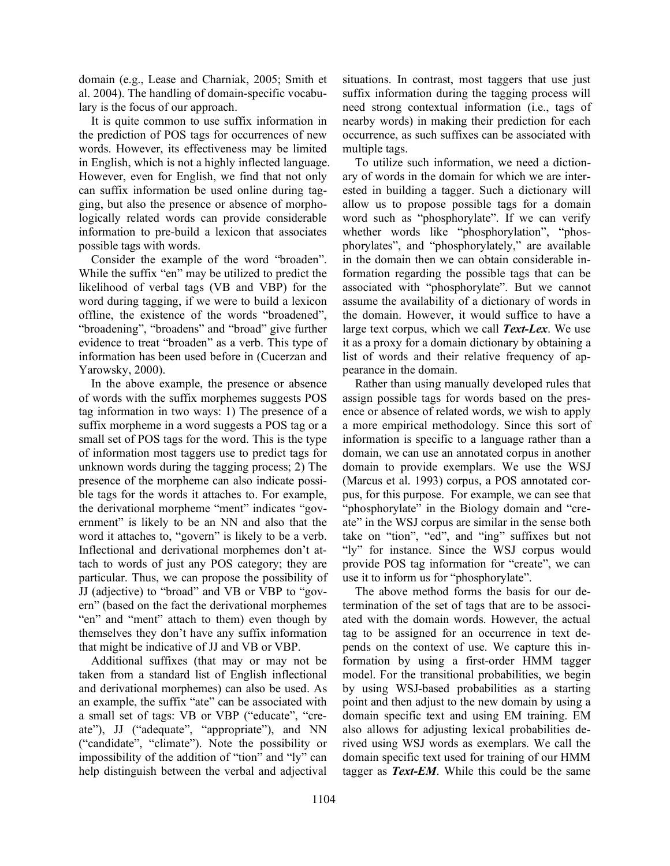domain (e.g., Lease and Charniak, 2005; Smith et al. 2004). The handling of domain-specific vocabulary is the focus of our approach.

It is quite common to use suffix information in the prediction of POS tags for occurrences of new words. However, its effectiveness may be limited in English, which is not a highly inflected language. However, even for English, we find that not only can suffix information be used online during tagging, but also the presence or absence of morphologically related words can provide considerable information to pre-build a lexicon that associates possible tags with words.

Consider the example of the word "broaden". While the suffix "en" may be utilized to predict the likelihood of verbal tags (VB and VBP) for the word during tagging, if we were to build a lexicon offline, the existence of the words "broadened", "broadening", "broadens" and "broad" give further evidence to treat "broaden" as a verb. This type of information has been used before in (Cucerzan and Yarowsky, 2000).

In the above example, the presence or absence of words with the suffix morphemes suggests POS tag information in two ways: 1) The presence of a suffix morpheme in a word suggests a POS tag or a small set of POS tags for the word. This is the type of information most taggers use to predict tags for unknown words during the tagging process; 2) The presence of the morpheme can also indicate possible tags for the words it attaches to. For example, the derivational morpheme "ment" indicates "government" is likely to be an NN and also that the word it attaches to, "govern" is likely to be a verb. Inflectional and derivational morphemes don't attach to words of just any POS category; they are particular. Thus, we can propose the possibility of JJ (adjective) to "broad" and VB or VBP to "govern" (based on the fact the derivational morphemes "en" and "ment" attach to them) even though by themselves they don't have any suffix information that might be indicative of JJ and VB or VBP.

Additional suffixes (that may or may not be taken from a standard list of English inflectional and derivational morphemes) can also be used. As an example, the suffix "ate" can be associated with a small set of tags: VB or VBP ("educate", "create"), JJ ("adequate", "appropriate"), and NN ("candidate", "climate"). Note the possibility or impossibility of the addition of "tion" and "ly" can help distinguish between the verbal and adjectival situations. In contrast, most taggers that use just suffix information during the tagging process will need strong contextual information (i.e., tags of nearby words) in making their prediction for each occurrence, as such suffixes can be associated with multiple tags.

To utilize such information, we need a dictionary of words in the domain for which we are interested in building a tagger. Such a dictionary will allow us to propose possible tags for a domain word such as "phosphorylate". If we can verify whether words like "phosphorylation", "phosphorylates", and "phosphorylately," are available in the domain then we can obtain considerable information regarding the possible tags that can be associated with "phosphorylate". But we cannot assume the availability of a dictionary of words in the domain. However, it would suffice to have a large text corpus, which we call *Text-Lex*. We use it as a proxy for a domain dictionary by obtaining a list of words and their relative frequency of appearance in the domain.

Rather than using manually developed rules that assign possible tags for words based on the presence or absence of related words, we wish to apply a more empirical methodology. Since this sort of information is specific to a language rather than a domain, we can use an annotated corpus in another domain to provide exemplars. We use the WSJ (Marcus et al. 1993) corpus, a POS annotated corpus, for this purpose. For example, we can see that "phosphorylate" in the Biology domain and "create" in the WSJ corpus are similar in the sense both take on "tion", "ed", and "ing" suffixes but not "ly" for instance. Since the WSJ corpus would provide POS tag information for "create", we can use it to inform us for "phosphorylate".

The above method forms the basis for our determination of the set of tags that are to be associated with the domain words. However, the actual tag to be assigned for an occurrence in text depends on the context of use. We capture this information by using a first-order HMM tagger model. For the transitional probabilities, we begin by using WSJ-based probabilities as a starting point and then adjust to the new domain by using a domain specific text and using EM training. EM also allows for adjusting lexical probabilities derived using WSJ words as exemplars. We call the domain specific text used for training of our HMM tagger as *Text-EM*. While this could be the same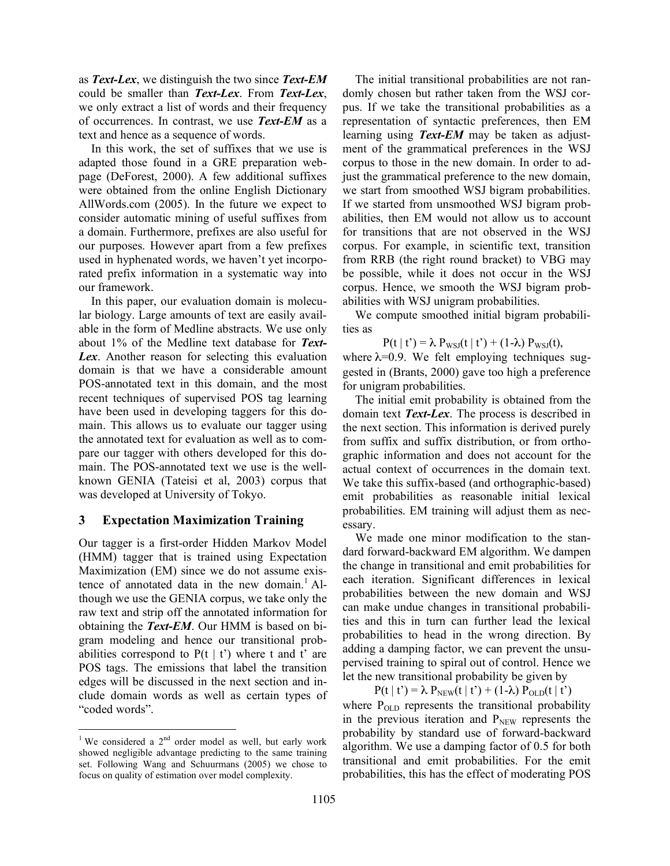as *Text-Lex*, we distinguish the two since *Text-EM* could be smaller than *Text-Lex*. From *Text-Lex*, we only extract a list of words and their frequency of occurrences. In contrast, we use *Text-EM* as a text and hence as a sequence of words.

In this work, the set of suffixes that we use is adapted those found in a GRE preparation webpage (DeForest, 2000). A few additional suffixes were obtained from the online English Dictionary AllWords.com (2005). In the future we expect to consider automatic mining of useful suffixes from a domain. Furthermore, prefixes are also useful for our purposes. However apart from a few prefixes used in hyphenated words, we haven't yet incorporated prefix information in a systematic way into our framework.

In this paper, our evaluation domain is molecular biology. Large amounts of text are easily available in the form of Medline abstracts. We use only about 1% of the Medline text database for *Text-Lex*. Another reason for selecting this evaluation domain is that we have a considerable amount POS-annotated text in this domain, and the most recent techniques of supervised POS tag learning have been used in developing taggers for this domain. This allows us to evaluate our tagger using the annotated text for evaluation as well as to compare our tagger with others developed for this domain. The POS-annotated text we use is the wellknown GENIA (Tateisi et al, 2003) corpus that was developed at University of Tokyo.

# **3 Expectation Maximization Training**

Our tagger is a first-order Hidden Markov Model (HMM) tagger that is trained using Expectation Maximization (EM) since we do not assume existence of annotated data in the new domain. <sup>1</sup> Although we use the GENIA corpus, we take only the raw text and strip off the annotated information for obtaining the *Text-EM*. Our HMM is based on bigram modeling and hence our transitional probabilities correspond to  $P(t | t')$  where t and t' are POS tags. The emissions that label the transition edges will be discussed in the next section and include domain words as well as certain types of "coded words".

The initial transitional probabilities are not randomly chosen but rather taken from the WSJ corpus. If we take the transitional probabilities as a representation of syntactic preferences, then EM learning using *Text-EM* may be taken as adjustment of the grammatical preferences in the WSJ corpus to those in the new domain. In order to adjust the grammatical preference to the new domain, we start from smoothed WSJ bigram probabilities. If we started from unsmoothed WSJ bigram probabilities, then EM would not allow us to account for transitions that are not observed in the WSJ corpus. For example, in scientific text, transition from RRB (the right round bracket) to VBG may be possible, while it does not occur in the WSJ corpus. Hence, we smooth the WSJ bigram probabilities with WSJ unigram probabilities.

We compute smoothed initial bigram probabilities as

 $P(t | t') = \lambda P_{WSJ}(t | t') + (1-\lambda) P_{WSJ}(t),$ where  $\lambda = 0.9$ . We felt employing techniques suggested in (Brants, 2000) gave too high a preference for unigram probabilities.

The initial emit probability is obtained from the domain text *Text-Lex*. The process is described in the next section. This information is derived purely from suffix and suffix distribution, or from orthographic information and does not account for the actual context of occurrences in the domain text. We take this suffix-based (and orthographic-based) emit probabilities as reasonable initial lexical probabilities. EM training will adjust them as necessary.

We made one minor modification to the standard forward-backward EM algorithm. We dampen the change in transitional and emit probabilities for each iteration. Significant differences in lexical probabilities between the new domain and WSJ can make undue changes in transitional probabilities and this in turn can further lead the lexical probabilities to head in the wrong direction. By adding a damping factor, we can prevent the unsupervised training to spiral out of control. Hence we let the new transitional probability be given by

 $P(t | t') = \lambda P_{NEW}(t | t') + (1-\lambda) P_{OLD}(t | t')$ where  $P_{OLD}$  represents the transitional probability in the previous iteration and  $P<sub>NEW</sub>$  represents the probability by standard use of forward-backward algorithm. We use a damping factor of 0.5 for both transitional and emit probabilities. For the emit probabilities, this has the effect of moderating POS

<sup>&</sup>lt;sup>1</sup> We considered a  $2<sup>nd</sup>$  order model as well, but early work showed negligible advantage predicting to the same training set. Following Wang and Schuurmans (2005) we chose to focus on quality of estimation over model complexity.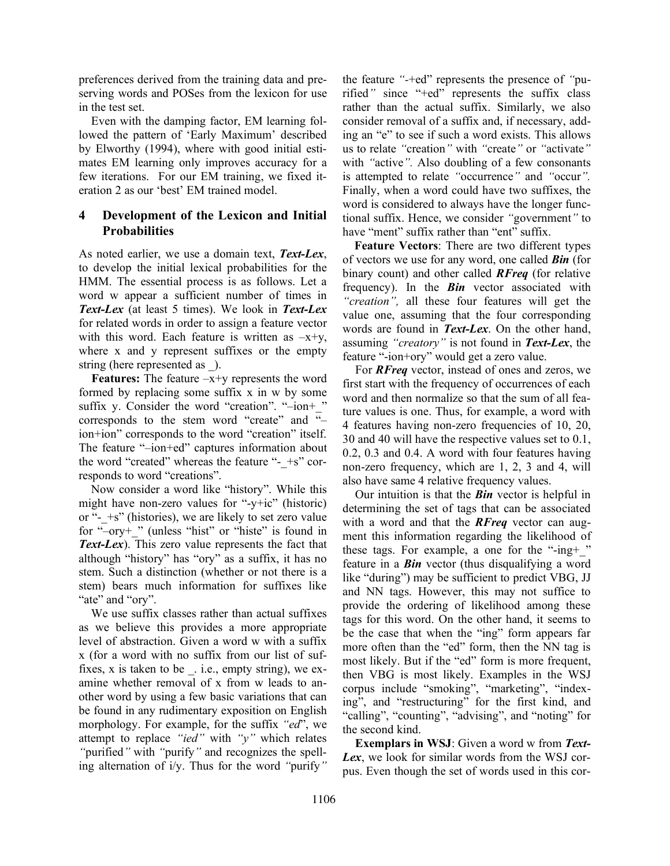preferences derived from the training data and preserving words and POSes from the lexicon for use in the test set.

Even with the damping factor, EM learning followed the pattern of 'Early Maximum' described by Elworthy (1994), where with good initial estimates EM learning only improves accuracy for a few iterations. For our EM training, we fixed iteration 2 as our 'best' EM trained model.

# **4 Development of the Lexicon and Initial Probabilities**

As noted earlier, we use a domain text, *Text-Lex*, to develop the initial lexical probabilities for the HMM. The essential process is as follows. Let a word w appear a sufficient number of times in *Text-Lex* (at least 5 times). We look in *Text-Lex* for related words in order to assign a feature vector with this word. Each feature is written as  $-x+y$ , where x and y represent suffixes or the empty string (here represented as ).

**Features:** The feature  $-x+y$  represents the word formed by replacing some suffix x in w by some suffix y. Consider the word "creation". "-ion+" corresponds to the stem word "create" and  $\overline{u}$ ion+ion" corresponds to the word "creation" itself. The feature "–ion+ed" captures information about the word "created" whereas the feature "- $+s$ " corresponds to word "creations".

Now consider a word like "history". While this might have non-zero values for "-y+ic" (historic) or " $-$  +s" (histories), we are likely to set zero value for "–ory+\_" (unless "hist" or "histe" is found in *Text-Lex*). This zero value represents the fact that although "history" has "ory" as a suffix, it has no stem. Such a distinction (whether or not there is a stem) bears much information for suffixes like "ate" and "ory".

We use suffix classes rather than actual suffixes as we believe this provides a more appropriate level of abstraction. Given a word w with a suffix x (for a word with no suffix from our list of suffixes,  $x$  is taken to be  $\therefore$  i.e., empty string), we examine whether removal of x from w leads to another word by using a few basic variations that can be found in any rudimentary exposition on English morphology. For example, for the suffix *"ed*", we attempt to replace *"ied"* with *"y"* which relates *"*purified*"* with *"*purify*"* and recognizes the spelling alternation of i/y. Thus for the word *"*purify*"*

the feature *"-*+ed" represents the presence of *"*purified*"* since "+ed" represents the suffix class rather than the actual suffix. Similarly, we also consider removal of a suffix and, if necessary, adding an "e" to see if such a word exists. This allows us to relate *"*creation*"* with *"*create*"* or *"*activate*"* with *"*active*".* Also doubling of a few consonants is attempted to relate *"*occurrence*"* and *"*occur*".* Finally, when a word could have two suffixes, the word is considered to always have the longer functional suffix. Hence, we consider *"*government*"* to have "ment" suffix rather than "ent" suffix.

**Feature Vectors**: There are two different types of vectors we use for any word, one called *Bin* (for binary count) and other called *RFreq* (for relative frequency). In the *Bin* vector associated with *"creation",* all these four features will get the value one, assuming that the four corresponding words are found in *Text-Lex*. On the other hand, assuming *"creatory"* is not found in *Text-Lex*, the feature "-ion+ory" would get a zero value.

For *RFreq* vector, instead of ones and zeros, we first start with the frequency of occurrences of each word and then normalize so that the sum of all feature values is one. Thus, for example, a word with 4 features having non-zero frequencies of 10, 20, 30 and 40 will have the respective values set to 0.1, 0.2, 0.3 and 0.4. A word with four features having non-zero frequency, which are 1, 2, 3 and 4, will also have same 4 relative frequency values.

Our intuition is that the *Bin* vector is helpful in determining the set of tags that can be associated with a word and that the *RFreq* vector can augment this information regarding the likelihood of these tags. For example, a one for the "-ing+\_" feature in a *Bin* vector (thus disqualifying a word like "during") may be sufficient to predict VBG, JJ and NN tags. However, this may not suffice to provide the ordering of likelihood among these tags for this word. On the other hand, it seems to be the case that when the "ing" form appears far more often than the "ed" form, then the NN tag is most likely. But if the "ed" form is more frequent, then VBG is most likely. Examples in the WSJ corpus include "smoking", "marketing", "indexing", and "restructuring" for the first kind, and "calling", "counting", "advising", and "noting" for the second kind.

**Exemplars in WSJ**: Given a word w from *Text-Lex*, we look for similar words from the WSJ corpus. Even though the set of words used in this cor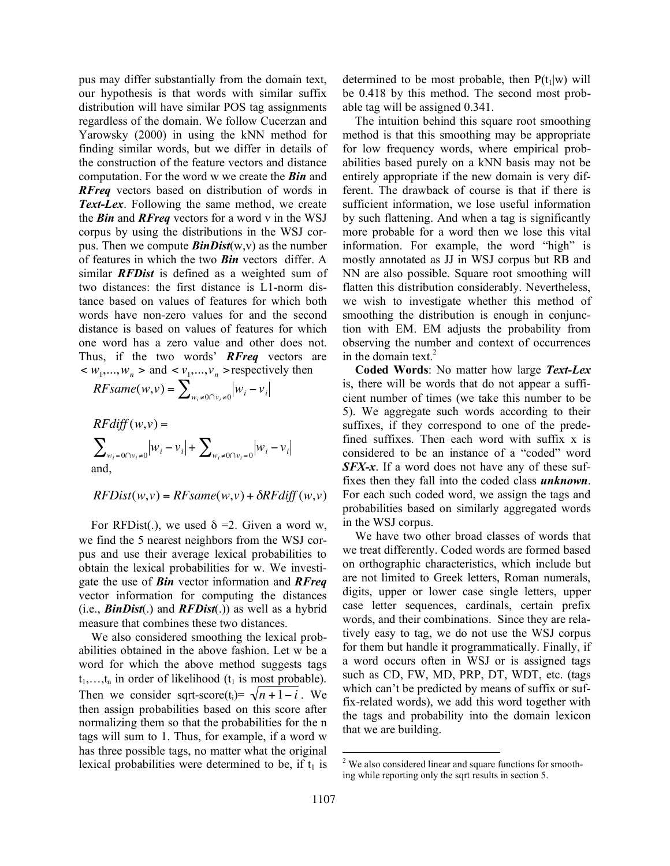pus may differ substantially from the domain text, our hypothesis is that words with similar suffix distribution will have similar POS tag assignments regardless of the domain. We follow Cucerzan and Yarowsky (2000) in using the kNN method for finding similar words, but we differ in details of the construction of the feature vectors and distance computation. For the word w we create the *Bin* and *RFreq* vectors based on distribution of words in *Text-Lex*. Following the same method, we create the *Bin* and *RFreq* vectors for a word v in the WSJ corpus by using the distributions in the WSJ corpus. Then we compute  $\mathit{BinDist}(w, v)$  as the number of features in which the two *Bin* vectors differ. A similar *RFDist* is defined as a weighted sum of two distances: the first distance is L1-norm distance based on values of features for which both words have non-zero values for and the second distance is based on values of features for which one word has a zero value and other does not. Thus, if the two words' *RFreq* vectors are  $< w_1, \ldots, w_n$  > and  $< v_1, \ldots, v_n$  > respectively then

$$
RFsame(w,v) = \sum_{w_i \neq 0 \cap v_i \neq 0}^{n} |w_i - v_i|
$$

$$
RFdiff(w,v) = \sum_{w_i=0 \cap v_i \neq 0} |w_i - v_i| + \sum_{w_i \neq 0 \cap v_i = 0} |w_i - v_i|
$$
  
and,

$$
RFDist(w, v) = RF same(w, v) + \delta RF diff(w, v)
$$

For RFDist(.), we used  $\delta = 2$ . Given a word w, we find the 5 nearest neighbors from the WSJ corpus and use their average lexical probabilities to obtain the lexical probabilities for w. We investigate the use of *Bin* vector information and *RFreq* vector information for computing the distances (i.e., *BinDist*(.) and *RFDist*(.)) as well as a hybrid measure that combines these two distances.

We also considered smoothing the lexical probabilities obtained in the above fashion. Let w be a word for which the above method suggests tags  $t_1, \ldots, t_n$  in order of likelihood ( $t_1$  is most probable). Then we consider sqrt-score(t<sub>i</sub>)=  $\sqrt{n+1-i}$ . We has three possible tags, no matter what the original then assign probabilities based on this score after normalizing them so that the probabilities for the n tags will sum to 1. Thus, for example, if a word w lexical probabilities were determined to be, if  $t_1$  is

determined to be most probable, then  $P(t_1|w)$  will be 0.418 by this method. The second most probable tag will be assigned 0.341.

The intuition behind this square root smoothing method is that this smoothing may be appropriate for low frequency words, where empirical probabilities based purely on a kNN basis may not be entirely appropriate if the new domain is very different. The drawback of course is that if there is sufficient information, we lose useful information by such flattening. And when a tag is significantly more probable for a word then we lose this vital information. For example, the word "high" is mostly annotated as JJ in WSJ corpus but RB and NN are also possible. Square root smoothing will flatten this distribution considerably. Nevertheless, we wish to investigate whether this method of smoothing the distribution is enough in conjunction with EM. EM adjusts the probability from observing the number and context of occurrences in the domain text. 2

**Coded Words**: No matter how large *Text-Lex* is, there will be words that do not appear a sufficient number of times (we take this number to be 5). We aggregate such words according to their suffixes, if they correspond to one of the predefined suffixes. Then each word with suffix x is considered to be an instance of a "coded" word *SFX-x*. If a word does not have any of these suffixes then they fall into the coded class *unknown*. For each such coded word, we assign the tags and probabilities based on similarly aggregated words in the WSJ corpus.

We have two other broad classes of words that we treat differently. Coded words are formed based on orthographic characteristics, which include but are not limited to Greek letters, Roman numerals, digits, upper or lower case single letters, upper case letter sequences, cardinals, certain prefix words, and their combinations. Since they are relatively easy to tag, we do not use the WSJ corpus for them but handle it programmatically. Finally, if a word occurs often in WSJ or is assigned tags such as CD, FW, MD, PRP, DT, WDT, etc. (tags which can't be predicted by means of suffix or suffix-related words), we add this word together with the tags and probability into the domain lexicon that we are building.

<sup>&</sup>lt;sup>2</sup> We also considered linear and square functions for smoothing while reporting only the sqrt results in section 5.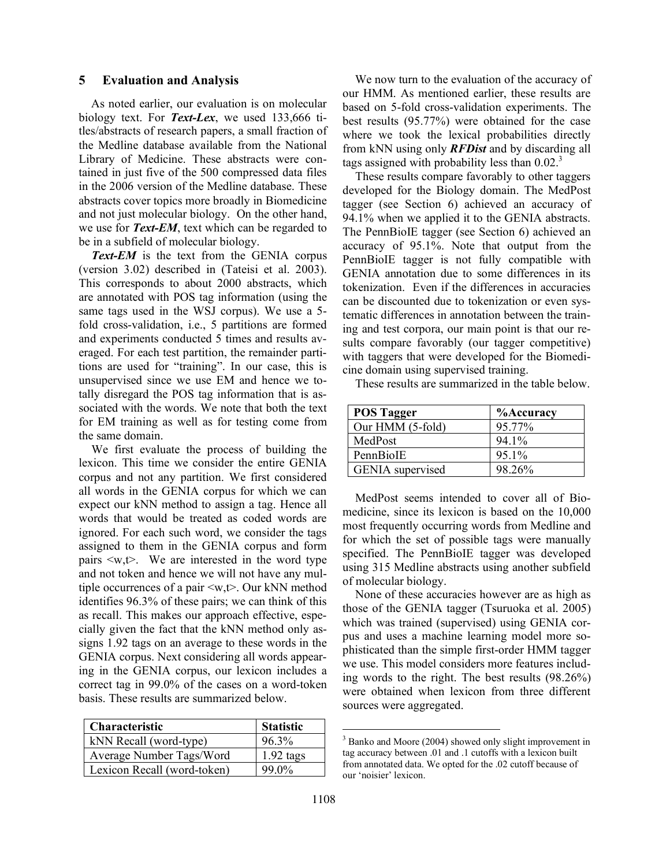### **5 Evaluation and Analysis**

As noted earlier, our evaluation is on molecular biology text. For *Text-Lex*, we used 133,666 titles/abstracts of research papers, a small fraction of the Medline database available from the National Library of Medicine. These abstracts were contained in just five of the 500 compressed data files in the 2006 version of the Medline database. These abstracts cover topics more broadly in Biomedicine and not just molecular biology. On the other hand, we use for *Text-EM*, text which can be regarded to be in a subfield of molecular biology.

*Text-EM* is the text from the GENIA corpus (version 3.02) described in (Tateisi et al. 2003). This corresponds to about 2000 abstracts, which are annotated with POS tag information (using the same tags used in the WSJ corpus). We use a 5 fold cross-validation, i.e., 5 partitions are formed and experiments conducted 5 times and results averaged. For each test partition, the remainder partitions are used for "training". In our case, this is unsupervised since we use EM and hence we totally disregard the POS tag information that is associated with the words. We note that both the text for EM training as well as for testing come from the same domain.

We first evaluate the process of building the lexicon. This time we consider the entire GENIA corpus and not any partition. We first considered all words in the GENIA corpus for which we can expect our kNN method to assign a tag. Hence all words that would be treated as coded words are ignored. For each such word, we consider the tags assigned to them in the GENIA corpus and form pairs  $\langle w, t \rangle$ . We are interested in the word type and not token and hence we will not have any multiple occurrences of a pair <w,t>. Our kNN method identifies 96.3% of these pairs; we can think of this as recall. This makes our approach effective, especially given the fact that the kNN method only assigns 1.92 tags on an average to these words in the GENIA corpus. Next considering all words appearing in the GENIA corpus, our lexicon includes a correct tag in 99.0% of the cases on a word-token basis. These results are summarized below.

| Characteristic              | <b>Statistic</b> |
|-----------------------------|------------------|
| kNN Recall (word-type)      | 96.3%            |
| Average Number Tags/Word    | $1.92$ tags      |
| Lexicon Recall (word-token) | 99.0%            |

We now turn to the evaluation of the accuracy of our HMM. As mentioned earlier, these results are based on 5-fold cross-validation experiments. The best results (95.77%) were obtained for the case where we took the lexical probabilities directly from kNN using only *RFDist* and by discarding all tags assigned with probability less than 0.02. 3

These results compare favorably to other taggers developed for the Biology domain. The MedPost tagger (see Section 6) achieved an accuracy of 94.1% when we applied it to the GENIA abstracts. The PennBioIE tagger (see Section 6) achieved an accuracy of 95.1%. Note that output from the PennBioIE tagger is not fully compatible with GENIA annotation due to some differences in its tokenization. Even if the differences in accuracies can be discounted due to tokenization or even systematic differences in annotation between the training and test corpora, our main point is that our results compare favorably (our tagger competitive) with taggers that were developed for the Biomedicine domain using supervised training.

**POS Tagger %Accuracy** Our HMM (5-fold) 95.77% MedPost 94.1% PennBioIE 95.1% GENIA supervised 98.26%

These results are summarized in the table below.

MedPost seems intended to cover all of Biomedicine, since its lexicon is based on the 10,000 most frequently occurring words from Medline and for which the set of possible tags were manually specified. The PennBioIE tagger was developed using 315 Medline abstracts using another subfield of molecular biology.

None of these accuracies however are as high as those of the GENIA tagger (Tsuruoka et al. 2005) which was trained (supervised) using GENIA corpus and uses a machine learning model more sophisticated than the simple first-order HMM tagger we use. This model considers more features including words to the right. The best results (98.26%) were obtained when lexicon from three different sources were aggregated.

<sup>&</sup>lt;sup>3</sup> Banko and Moore (2004) showed only slight improvement in tag accuracy between .01 and .1 cutoffs with a lexicon built from annotated data. We opted for the .02 cutoff because of our 'noisier' lexicon.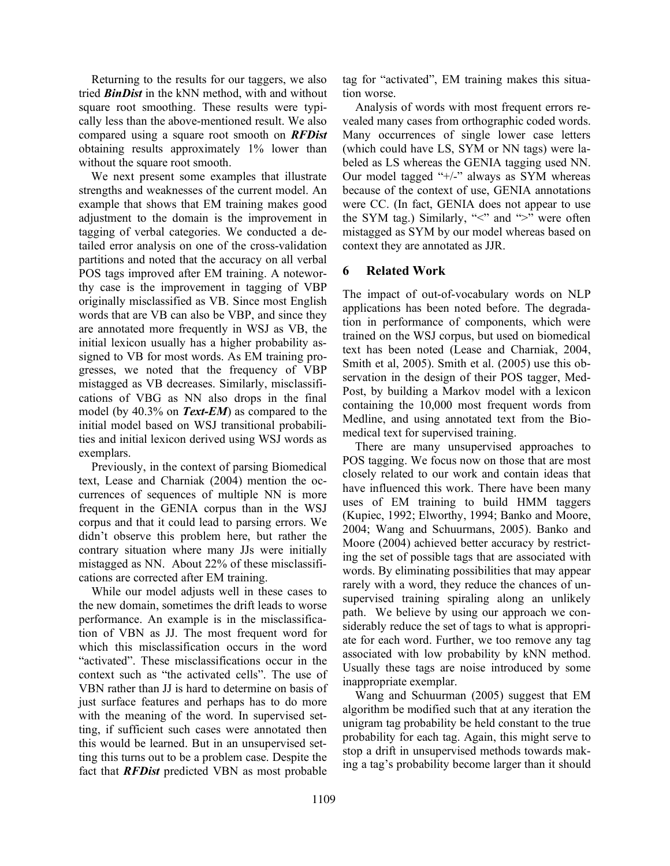Returning to the results for our taggers, we also tried *BinDist* in the kNN method, with and without square root smoothing. These results were typically less than the above-mentioned result. We also compared using a square root smooth on *RFDist* obtaining results approximately 1% lower than without the square root smooth.

We next present some examples that illustrate strengths and weaknesses of the current model. An example that shows that EM training makes good adjustment to the domain is the improvement in tagging of verbal categories. We conducted a detailed error analysis on one of the cross-validation partitions and noted that the accuracy on all verbal POS tags improved after EM training. A noteworthy case is the improvement in tagging of VBP originally misclassified as VB. Since most English words that are VB can also be VBP, and since they are annotated more frequently in WSJ as VB, the initial lexicon usually has a higher probability assigned to VB for most words. As EM training progresses, we noted that the frequency of VBP mistagged as VB decreases. Similarly, misclassifications of VBG as NN also drops in the final model (by 40.3% on *Text-EM*) as compared to the initial model based on WSJ transitional probabilities and initial lexicon derived using WSJ words as exemplars.

Previously, in the context of parsing Biomedical text, Lease and Charniak (2004) mention the occurrences of sequences of multiple NN is more frequent in the GENIA corpus than in the WSJ corpus and that it could lead to parsing errors. We didn't observe this problem here, but rather the contrary situation where many JJs were initially mistagged as NN. About 22% of these misclassifications are corrected after EM training.

While our model adjusts well in these cases to the new domain, sometimes the drift leads to worse performance. An example is in the misclassification of VBN as JJ. The most frequent word for which this misclassification occurs in the word "activated". These misclassifications occur in the context such as "the activated cells". The use of VBN rather than JJ is hard to determine on basis of just surface features and perhaps has to do more with the meaning of the word. In supervised setting, if sufficient such cases were annotated then this would be learned. But in an unsupervised setting this turns out to be a problem case. Despite the fact that *RFDist* predicted VBN as most probable tag for "activated", EM training makes this situation worse.

Analysis of words with most frequent errors revealed many cases from orthographic coded words. Many occurrences of single lower case letters (which could have LS, SYM or NN tags) were labeled as LS whereas the GENIA tagging used NN. Our model tagged "+/-" always as SYM whereas because of the context of use, GENIA annotations were CC. (In fact, GENIA does not appear to use the SYM tag.) Similarly, " $\lt$ " and " $\gt$ " were often mistagged as SYM by our model whereas based on context they are annotated as JJR.

# **6 Related Work**

The impact of out-of-vocabulary words on NLP applications has been noted before. The degradation in performance of components, which were trained on the WSJ corpus, but used on biomedical text has been noted (Lease and Charniak, 2004, Smith et al, 2005). Smith et al. (2005) use this observation in the design of their POS tagger, Med-Post, by building a Markov model with a lexicon containing the 10,000 most frequent words from Medline, and using annotated text from the Biomedical text for supervised training.

There are many unsupervised approaches to POS tagging. We focus now on those that are most closely related to our work and contain ideas that have influenced this work. There have been many uses of EM training to build HMM taggers (Kupiec, 1992; Elworthy, 1994; Banko and Moore, 2004; Wang and Schuurmans, 2005). Banko and Moore (2004) achieved better accuracy by restricting the set of possible tags that are associated with words. By eliminating possibilities that may appear rarely with a word, they reduce the chances of unsupervised training spiraling along an unlikely path. We believe by using our approach we considerably reduce the set of tags to what is appropriate for each word. Further, we too remove any tag associated with low probability by kNN method. Usually these tags are noise introduced by some inappropriate exemplar.

Wang and Schuurman (2005) suggest that EM algorithm be modified such that at any iteration the unigram tag probability be held constant to the true probability for each tag. Again, this might serve to stop a drift in unsupervised methods towards making a tag's probability become larger than it should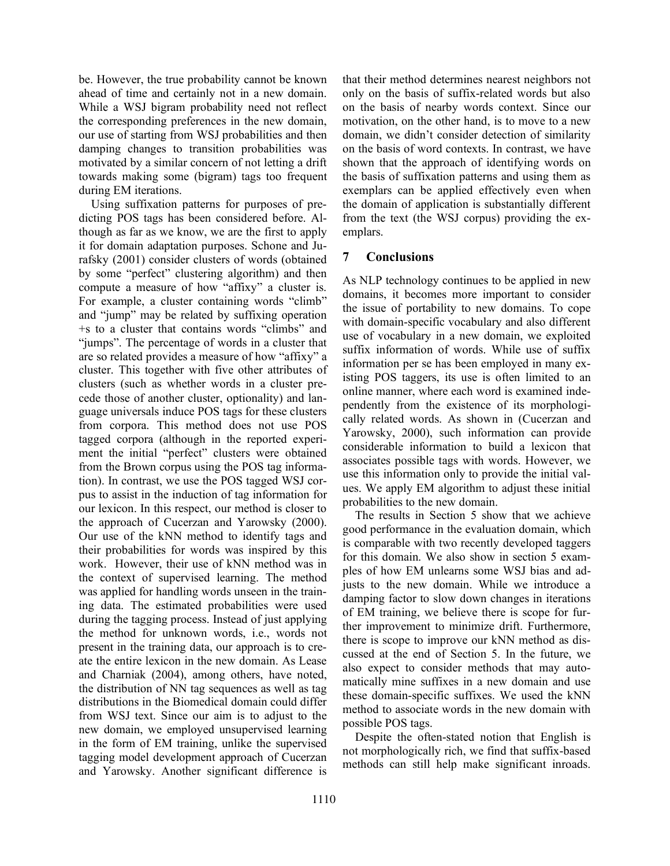be. However, the true probability cannot be known ahead of time and certainly not in a new domain. While a WSJ bigram probability need not reflect the corresponding preferences in the new domain, our use of starting from WSJ probabilities and then damping changes to transition probabilities was motivated by a similar concern of not letting a drift towards making some (bigram) tags too frequent during EM iterations.

Using suffixation patterns for purposes of predicting POS tags has been considered before. Although as far as we know, we are the first to apply it for domain adaptation purposes. Schone and Jurafsky (2001) consider clusters of words (obtained by some "perfect" clustering algorithm) and then compute a measure of how "affixy" a cluster is. For example, a cluster containing words "climb" and "jump" may be related by suffixing operation +s to a cluster that contains words "climbs" and "jumps". The percentage of words in a cluster that are so related provides a measure of how "affixy" a cluster. This together with five other attributes of clusters (such as whether words in a cluster precede those of another cluster, optionality) and language universals induce POS tags for these clusters from corpora. This method does not use POS tagged corpora (although in the reported experiment the initial "perfect" clusters were obtained from the Brown corpus using the POS tag information). In contrast, we use the POS tagged WSJ corpus to assist in the induction of tag information for our lexicon. In this respect, our method is closer to the approach of Cucerzan and Yarowsky (2000). Our use of the kNN method to identify tags and their probabilities for words was inspired by this work. However, their use of kNN method was in the context of supervised learning. The method was applied for handling words unseen in the training data. The estimated probabilities were used during the tagging process. Instead of just applying the method for unknown words, i.e., words not present in the training data, our approach is to create the entire lexicon in the new domain. As Lease and Charniak (2004), among others, have noted, the distribution of NN tag sequences as well as tag distributions in the Biomedical domain could differ from WSJ text. Since our aim is to adjust to the new domain, we employed unsupervised learning in the form of EM training, unlike the supervised tagging model development approach of Cucerzan and Yarowsky. Another significant difference is

that their method determines nearest neighbors not only on the basis of suffix-related words but also on the basis of nearby words context. Since our motivation, on the other hand, is to move to a new domain, we didn't consider detection of similarity on the basis of word contexts. In contrast, we have shown that the approach of identifying words on the basis of suffixation patterns and using them as exemplars can be applied effectively even when the domain of application is substantially different from the text (the WSJ corpus) providing the exemplars.

# **7 Conclusions**

As NLP technology continues to be applied in new domains, it becomes more important to consider the issue of portability to new domains. To cope with domain-specific vocabulary and also different use of vocabulary in a new domain, we exploited suffix information of words. While use of suffix information per se has been employed in many existing POS taggers, its use is often limited to an online manner, where each word is examined independently from the existence of its morphologically related words. As shown in (Cucerzan and Yarowsky, 2000), such information can provide considerable information to build a lexicon that associates possible tags with words. However, we use this information only to provide the initial values. We apply EM algorithm to adjust these initial probabilities to the new domain.

The results in Section 5 show that we achieve good performance in the evaluation domain, which is comparable with two recently developed taggers for this domain. We also show in section 5 examples of how EM unlearns some WSJ bias and adjusts to the new domain. While we introduce a damping factor to slow down changes in iterations of EM training, we believe there is scope for further improvement to minimize drift. Furthermore, there is scope to improve our kNN method as discussed at the end of Section 5. In the future, we also expect to consider methods that may automatically mine suffixes in a new domain and use these domain-specific suffixes. We used the kNN method to associate words in the new domain with possible POS tags.

Despite the often-stated notion that English is not morphologically rich, we find that suffix-based methods can still help make significant inroads.